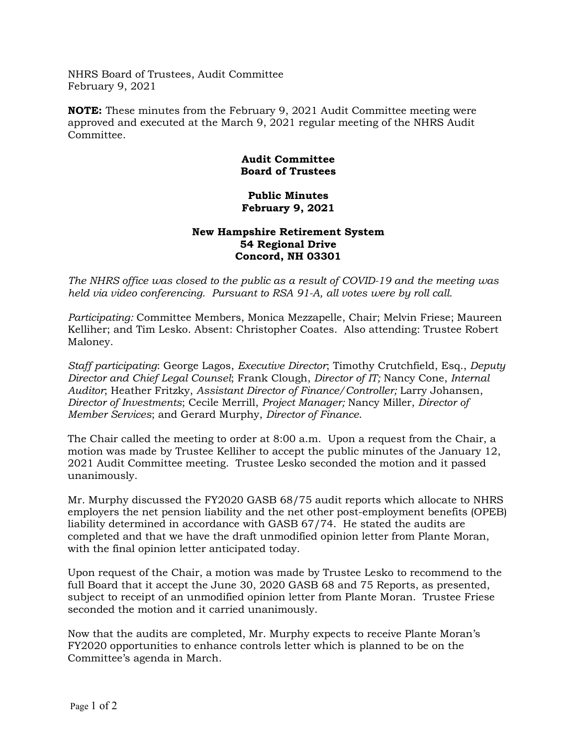NHRS Board of Trustees, Audit Committee February 9, 2021

**NOTE:** These minutes from the February 9, 2021 Audit Committee meeting were approved and executed at the March 9, 2021 regular meeting of the NHRS Audit Committee.

## **Audit Committee Board of Trustees**

## **Public Minutes February 9, 2021**

## **New Hampshire Retirement System 54 Regional Drive Concord, NH 03301**

*The NHRS office was closed to the public as a result of COVID-19 and the meeting was held via video conferencing. Pursuant to RSA 91-A, all votes were by roll call.*

*Participating:* Committee Members, Monica Mezzapelle, Chair; Melvin Friese; Maureen Kelliher; and Tim Lesko. Absent: Christopher Coates. Also attending: Trustee Robert Maloney.

*Staff participating*: George Lagos, *Executive Director*; Timothy Crutchfield, Esq., *Deputy Director and Chief Legal Counsel*; Frank Clough, *Director of IT;* Nancy Cone, *Internal Auditor*; Heather Fritzky, *Assistant Director of Finance/Controller;* Larry Johansen, *Director of Investments*; Cecile Merrill, *Project Manager;* Nancy Miller, *Director of Member Services*; and Gerard Murphy, *Director of Finance*.

The Chair called the meeting to order at 8:00 a.m. Upon a request from the Chair, a motion was made by Trustee Kelliher to accept the public minutes of the January 12, 2021 Audit Committee meeting. Trustee Lesko seconded the motion and it passed unanimously.

Mr. Murphy discussed the FY2020 GASB 68/75 audit reports which allocate to NHRS employers the net pension liability and the net other post-employment benefits (OPEB) liability determined in accordance with GASB 67/74. He stated the audits are completed and that we have the draft unmodified opinion letter from Plante Moran, with the final opinion letter anticipated today.

Upon request of the Chair, a motion was made by Trustee Lesko to recommend to the full Board that it accept the June 30, 2020 GASB 68 and 75 Reports, as presented, subject to receipt of an unmodified opinion letter from Plante Moran. Trustee Friese seconded the motion and it carried unanimously.

Now that the audits are completed, Mr. Murphy expects to receive Plante Moran's FY2020 opportunities to enhance controls letter which is planned to be on the Committee's agenda in March.